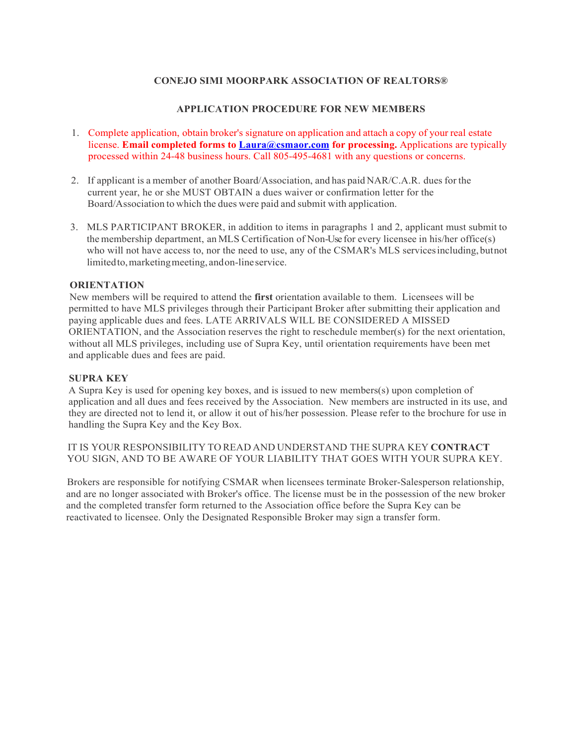## **CONEJO SIMI MOORPARK ASSOCIATION OF REALTORS®**

#### **APPLICATION PROCEDURE FOR NEW MEMBERS**

- 1. Complete application, obtain broker's signature on application and attach a copy of your real estate license. **Email completed forms to [Laura@csmaor.com](mailto:Laura@csmaor.com) for processing.** Applications are typically processed within 24-48 business hours. Call 805-495-4681 with any questions or concerns.
- 2. If applicant is a member of another Board/Association, and has paid NAR/C.A.R. dues for the current year, he or she MUST OBTAIN a dues waiver or confirmation letter for the Board/Association to which the dues were paid and submit with application.
- 3. MLS PARTICIPANT BROKER, in addition to items in paragraphs 1 and 2, applicant must submit to the membership department, an MLS Certification of Non-Use for every licensee in his/her office(s) who will not have access to, nor the need to use, any of the CSMAR's MLS servicesincluding, butnot limited to, marketing meeting, and on-line service.

#### **ORIENTATION**

New members will be required to attend the **first** orientation available to them. Licensees will be permitted to have MLS privileges through their Participant Broker after submitting their application and paying applicable dues and fees. LATE ARRIVALS WILL BE CONSIDERED A MISSED ORIENTATION, and the Association reserves the right to reschedule member(s) for the next orientation, without all MLS privileges, including use of Supra Key, until orientation requirements have been met and applicable dues and fees are paid.

#### **SUPRA KEY**

A Supra Key is used for opening key boxes, and is issued to new members(s) upon completion of application and all dues and fees received by the Association. New members are instructed in its use, and they are directed not to lend it, or allow it out of his/her possession. Please refer to the brochure for use in handling the Supra Key and the Key Box.

#### IT IS YOUR RESPONSIBILITY TO READ AND UNDERSTAND THE SUPRA KEY **CONTRACT**  YOU SIGN, AND TO BE AWARE OF YOUR LIABILITY THAT GOES WITH YOUR SUPRA KEY.

Brokers are responsible for notifying CSMAR when licensees terminate Broker-Salesperson relationship, and are no longer associated with Broker's office. The license must be in the possession of the new broker and the completed transfer form returned to the Association office before the Supra Key can be reactivated to licensee. Only the Designated Responsible Broker may sign a transfer form.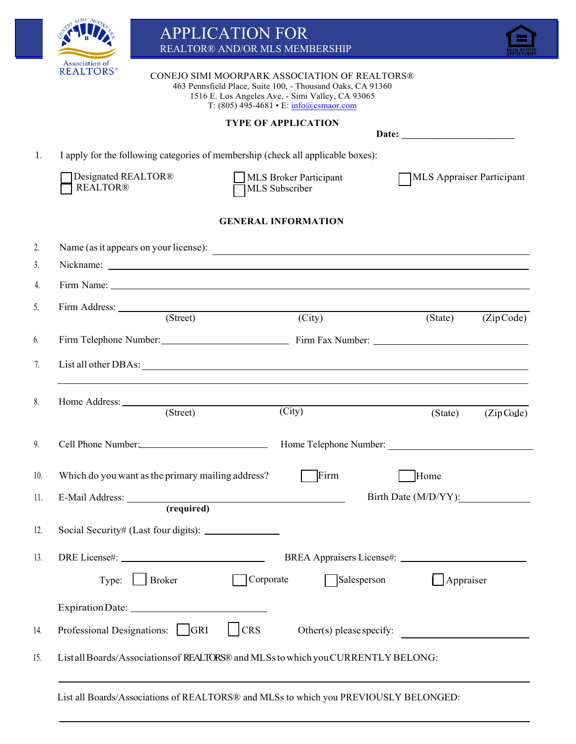| MOORS                                          |
|------------------------------------------------|
| Association of<br><b>REALTORS</b> <sup>®</sup> |

CONEJO SIMI MOORPARK ASSOCIATION OF REALTORS® 463 Pennsfield Place, Suite 100, - Thousand Oaks, CA 91360 1516 E. Los Angeles Ave, - Simi Valley, CA 93065 T: (805) 495-4681 • E[: info@csmaor.com](mailto:info@csmaor.com)

#### **TYPE OF APPLICATION**

1. I apply for the following categories of membership (check all applicable boxes):

| Designated REALTOR® |
|---------------------|
| $\Box$ REALTOR®     |

[ ] MLS Broker Participant MLS Subscriber

[ ] MLS Appraiser Participant

**Date: \_\_\_\_\_\_\_\_\_\_\_\_\_\_\_\_\_\_\_\_\_\_\_**

## **GENERAL INFORMATION**

| 2.  | Name (as it appears on your license):                                                |
|-----|--------------------------------------------------------------------------------------|
| 3.  |                                                                                      |
| 4.  |                                                                                      |
| 5.  | Firm Address: (Street) (City)<br>(State)<br>(ZipCode)                                |
| 6.  |                                                                                      |
| 7.  |                                                                                      |
| 8.  | $\overline{\text{(Street)}}$<br>$\overline{(City)}$<br>(State)<br>(ZipCode)          |
| 9.  | Cell Phone Number:<br>Home Telephone Number:<br>Home Telephone Number:               |
| 10. | Firm<br>Home<br>Which do you want as the primary mailing address?                    |
| 11. | Birth Date (M/D/YY):<br>E-Mail Address: <u>required</u>                              |
| 12. |                                                                                      |
| 13. |                                                                                      |
|     | $\Box$ Corporate<br>Salesperson<br>$Type:  $ Broker<br>$\vert$ Appraiser             |
|     |                                                                                      |
| 14. | $\vert$ CRS<br>Professional Designations:   GRI<br>Other(s) please specify:          |
| 15. | Listall Boards/Associations of REALTORS® and MLSs to which you CURRENTLY BELONG:     |
|     | List all Boards/Associations of REALTORS® and MLSs to which you PREVIOUSLY BELONGED: |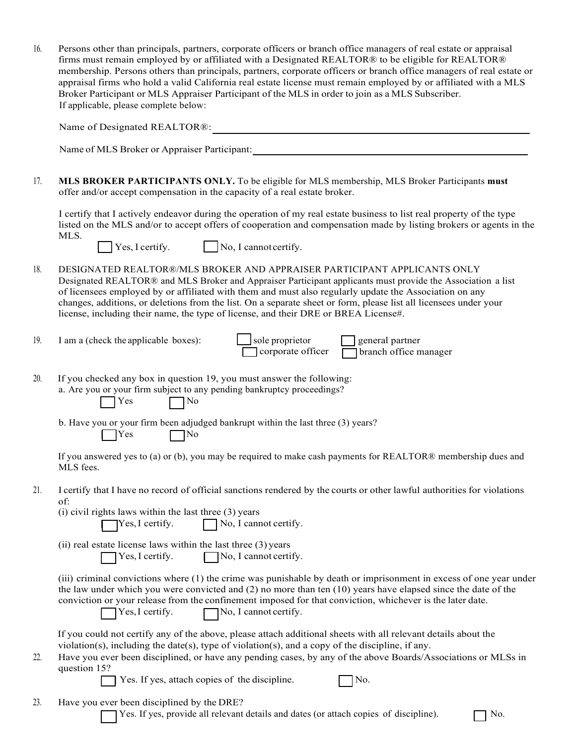| 16. | Persons other than principals, partners, corporate officers or branch office managers of real estate or appraisal<br>firms must remain employed by or affiliated with a Designated REALTOR® to be eligible for REALTOR®<br>membership. Persons others than principals, partners, corporate officers or branch office managers of real estate or<br>appraisal firms who hold a valid California real estate license must remain employed by or affiliated with a MLS<br>Broker Participant or MLS Appraiser Participant of the MLS in order to join as a MLS Subscriber.<br>If applicable, please complete below: |
|-----|------------------------------------------------------------------------------------------------------------------------------------------------------------------------------------------------------------------------------------------------------------------------------------------------------------------------------------------------------------------------------------------------------------------------------------------------------------------------------------------------------------------------------------------------------------------------------------------------------------------|
|     | Name of Designated REALTOR®:<br>Name of MLS Broker or Appraiser Participant:                                                                                                                                                                                                                                                                                                                                                                                                                                                                                                                                     |

17. **MLS BROKER PARTICIPANTS ONLY.** To be eligible for MLS membership, MLS Broker Participants **must** offer and/or accept compensation in the capacity of a real estate broker.

I certify that I actively endeavor during the operation of my real estate business to list real property of the type listed on the MLS and/or to accept offers of cooperation and compensation made by listing brokers or agents in the MLS.

 $\bigcap$  Yes, I certify.  $\bigcap$  No, I cannot certify.

18. DESIGNATED REALTOR®/MLS BROKER AND APPRAISER PARTICIPANT APPLICANTS ONLY Designated REALTOR® and MLS Broker and Appraiser Participant applicants must provide the Association a list of licensees employed by or affiliated with them and must also regularly update the Association on any changes, additions, or deletions from the list. On a separate sheet or form, please list all licensees under your license, including their name, the type of license, and their DRE or BREA License#.

| I am a (check the applicable boxes): | sole proprietor   | general partner       |
|--------------------------------------|-------------------|-----------------------|
|                                      | corporate officer | branch office manager |

20. If you checked any box in question 19, you must answer the following: a. Are you or your firm subject to any pending bankruptcy proceedings?

 $Yes \t | No$ 

b. Have you or your firm been adjudged bankrupt within the last three (3) years?  $\bigcap$  Yes  $\bigcap$  No

If you answered yes to (a) or (b), you may be required to make cash payments for REALTOR® membership dues and MLS fees.

21. I certify that I have no record of official sanctions rendered by the courts or other lawful authorities for violations of:

| (i) civil rights laws within the last three (3) years |                |  |               |
|-------------------------------------------------------|----------------|--|---------------|
|                                                       | $\blacksquare$ |  | $\Box$ $\Box$ |

| $\Box$ Yes, I certify. | $\Box$ No, I cannot certify. |
|------------------------|------------------------------|
|                        |                              |

(ii) real estate license laws within the last three (3) years  $\bigcap$  Yes, I certify.  $\bigcap$  No, I cannot certify.

(iii) criminal convictions where (1) the crime was punishable by death or imprisonment in excess of one year under the law under which you were convicted and (2) no more than ten (10) years have elapsed since the date of the conviction or your release from the confinement imposed for that conviction, whichever is the later date.  $\bigcap$  Yes, I certify.  $\bigcap$  No, I cannot certify.

If you could not certify any of the above, please attach additional sheets with all relevant details about the violation(s), including the date(s), type of violation(s), and a copy of the discipline, if any.

22. Have you ever been disciplined, or have any pending cases, by any of the above Boards/Associations or MLSs in question 15?

 $\Box$  Yes. If yes, attach copies of the discipline.  $\Box$  No.

23. Have you ever been disciplined by the DRE?

Yes. If yes, provide all relevant details and dates (or attach copies of discipline).  $\Box$  No.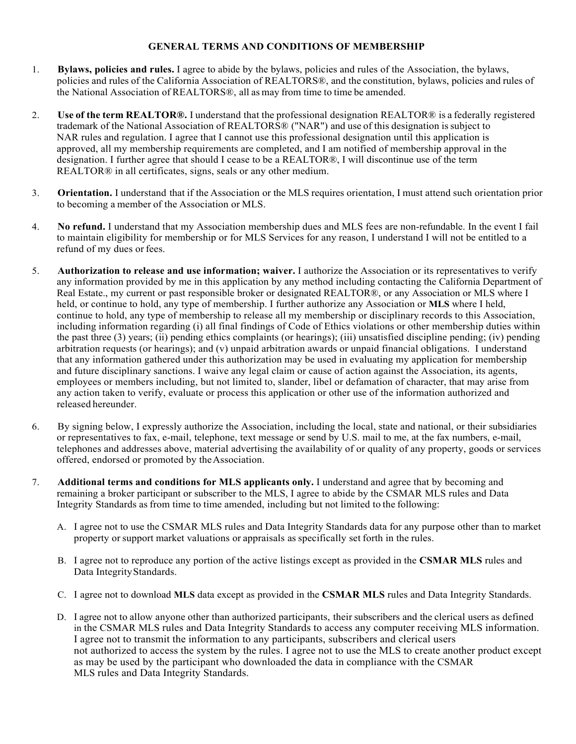#### **GENERAL TERMS AND CONDITIONS OF MEMBERSHIP**

- 1. **Bylaws, policies and rules.** I agree to abide by the bylaws, policies and rules of the Association, the bylaws, policies and rules of the California Association of REALTORS®, and the constitution, bylaws, policies and rules of the National Association of REALTORS®, all as may from time to time be amended.
- 2. **Use of the term REALTOR®.** I understand that the professional designation REALTOR® is a federally registered trademark of the National Association of REALTORS® ("NAR") and use of this designation issubject to NAR rules and regulation. I agree that I cannot use this professional designation until this application is approved, all my membership requirements are completed, and I am notified of membership approval in the designation. I further agree that should I cease to be a REALTOR®, I will discontinue use of the term REALTOR® in all certificates, signs, seals or any other medium.
- 3. **Orientation.** I understand that if the Association or the MLS requires orientation, I must attend such orientation prior to becoming a member of the Association or MLS.
- 4. **No refund.** I understand that my Association membership dues and MLS fees are non-refundable. In the event I fail to maintain eligibility for membership or for MLS Services for any reason, I understand I will not be entitled to a refund of my dues or fees.
- 5. **Authorization to release and use information; waiver.** I authorize the Association or its representatives to verify any information provided by me in this application by any method including contacting the California Department of Real Estate., my current or past responsible broker or designated REALTOR®, or any Association or MLS where I held, or continue to hold, any type of membership. I further authorize any Association or **MLS** where I held, continue to hold, any type of membership to release all my membership or disciplinary records to this Association, including information regarding (i) all final findings of Code of Ethics violations or other membership duties within the past three (3) years; (ii) pending ethics complaints (or hearings); (iii) unsatisfied discipline pending; (iv) pending arbitration requests (or hearings); and (v) unpaid arbitration awards or unpaid financial obligations. I understand that any information gathered under this authorization may be used in evaluating my application for membership and future disciplinary sanctions. I waive any legal claim or cause of action against the Association, its agents, employees or members including, but not limited to, slander, libel or defamation of character, that may arise from any action taken to verify, evaluate or process this application or other use of the information authorized and released hereunder.
- 6. By signing below, I expressly authorize the Association, including the local, state and national, or their subsidiaries or representatives to fax, e-mail, telephone, text message or send by U.S. mail to me, at the fax numbers, e-mail, telephones and addresses above, material advertising the availability of or quality of any property, goods or services offered, endorsed or promoted by theAssociation.
- 7. **Additional terms and conditions for MLS applicants only.** I understand and agree that by becoming and remaining a broker participant or subscriber to the MLS, I agree to abide by the CSMAR MLS rules and Data Integrity Standards as from time to time amended, including but not limited to the following:
	- A. I agree not to use the CSMAR MLS rules and Data Integrity Standards data for any purpose other than to market property or support market valuations or appraisals as specifically set forth in the rules.
	- B. I agree not to reproduce any portion of the active listings except as provided in the **CSMAR MLS** rules and Data IntegrityStandards.
	- C. I agree not to download **MLS** data except as provided in the **CSMAR MLS** rules and Data Integrity Standards.
	- D. I agree not to allow anyone other than authorized participants, their subscribers and the clerical users as defined in the CSMAR MLS rules and Data Integrity Standards to access any computer receiving MLS information. I agree not to transmit the information to any participants, subscribers and clerical users not authorized to access the system by the rules. I agree not to use the MLS to create another product except as may be used by the participant who downloaded the data in compliance with the CSMAR MLS rules and Data Integrity Standards.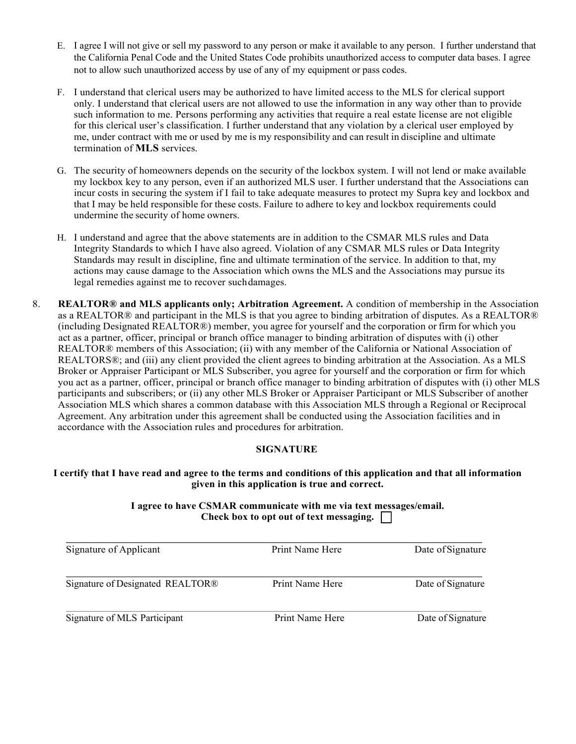- E. I agree I will not give or sell my password to any person or make it available to any person. I further understand that the California Penal Code and the United States Code prohibits unauthorized access to computer data bases. I agree not to allow such unauthorized access by use of any of my equipment or pass codes.
- F. I understand that clerical users may be authorized to have limited access to the MLS for clerical support only. I understand that clerical users are not allowed to use the information in any way other than to provide such information to me. Persons performing any activities that require a real estate license are not eligible for this clerical user's classification. I further understand that any violation by a clerical user employed by me, under contract with me or used by me is my responsibility and can result in discipline and ultimate termination of **MLS** services.
- G. The security of homeowners depends on the security of the lockbox system. I will not lend or make available my lockbox key to any person, even if an authorized MLS user. I further understand that the Associations can incur costs in securing the system if I fail to take adequate measures to protect my Supra key and lockbox and that I may be held responsible for these costs. Failure to adhere to key and lockbox requirements could undermine the security of home owners.
- H. I understand and agree that the above statements are in addition to the CSMAR MLS rules and Data Integrity Standards to which I have also agreed. Violation of any CSMAR MLS rules or Data Integrity Standards may result in discipline, fine and ultimate termination of the service. In addition to that, my actions may cause damage to the Association which owns the MLS and the Associations may pursue its legal remedies against me to recover suchdamages.
- 8. **REALTOR® and MLS applicants only; Arbitration Agreement.** A condition of membership in the Association as a REALTOR® and participant in the MLS is that you agree to binding arbitration of disputes. As a REALTOR® (including Designated REALTOR®) member, you agree for yourself and the corporation or firm for which you act as a partner, officer, principal or branch office manager to binding arbitration of disputes with (i) other REALTOR® members of this Association; (ii) with any member of the California or National Association of REALTORS®; and (iii) any client provided the client agrees to binding arbitration at the Association. As a MLS Broker or Appraiser Participant or MLS Subscriber, you agree for yourself and the corporation or firm for which you act as a partner, officer, principal or branch office manager to binding arbitration of disputes with (i) other MLS participants and subscribers; or (ii) any other MLS Broker or Appraiser Participant or MLS Subscriber of another Association MLS which shares a common database with this Association MLS through a Regional or Reciprocal Agreement. Any arbitration under this agreement shall be conducted using the Association facilities and in accordance with the Association rules and procedures for arbitration.

#### **SIGNATURE**

#### **I certify that I have read and agree to the terms and conditions of this application and that all information given in this application is true and correct.**

#### **I agree to have CSMAR communicate with me via text messages/email. Check box to opt out of text messaging.**

| Signature of Applicant           | Print Name Here | Date of Signature |
|----------------------------------|-----------------|-------------------|
| Signature of Designated REALTOR® | Print Name Here | Date of Signature |
| Signature of MLS Participant     | Print Name Here | Date of Signature |